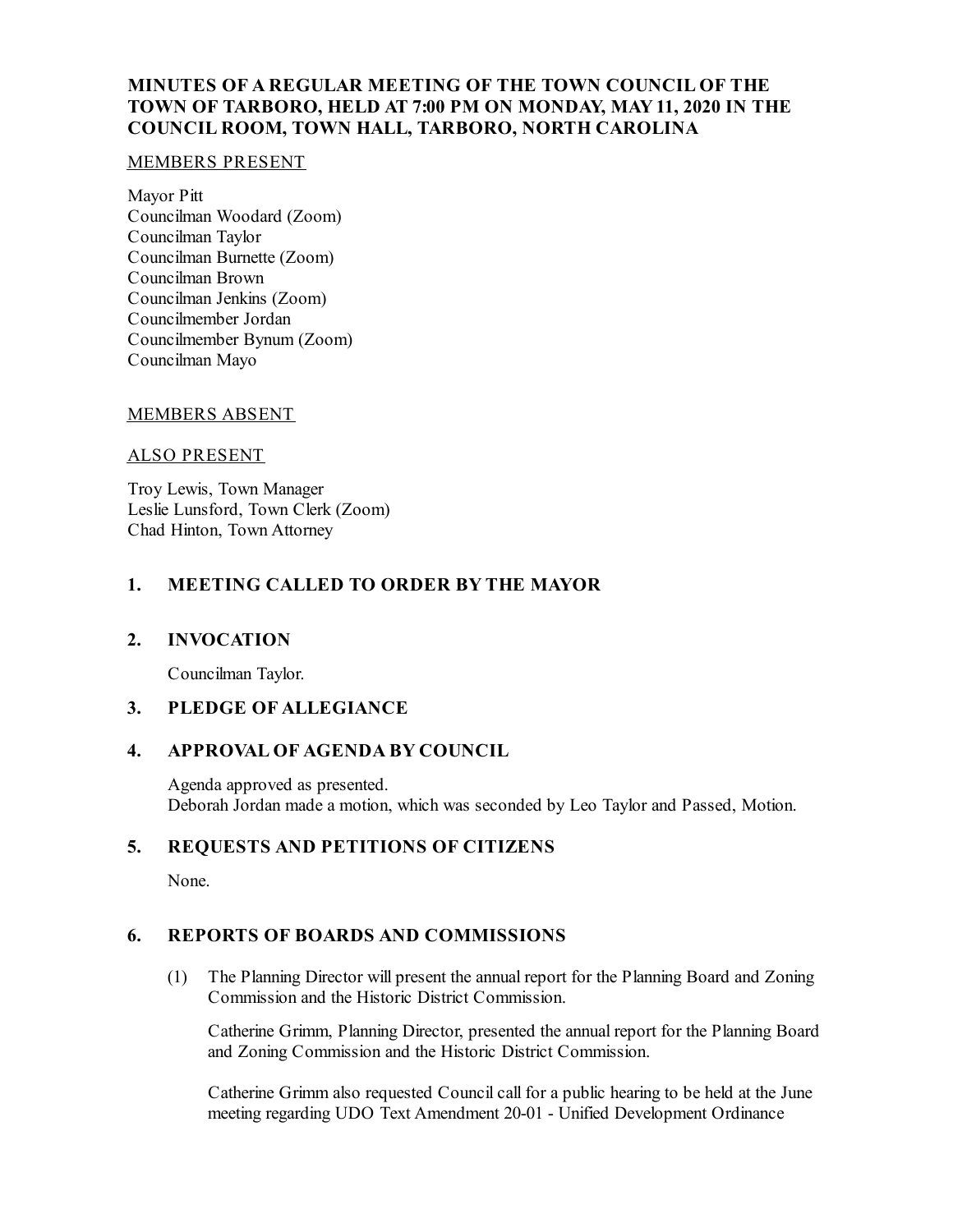# **MINUTES OF A REGULAR MEETING OF THE TOWN COUNCIL OF THE TOWN OF TARBORO, HELD AT 7:00 PM ON MONDAY, MAY11, 2020 IN THE COUNCIL ROOM, TOWN HALL, TARBORO, NORTH CAROLINA**

### MEMBERS PRESENT

Mayor Pitt Councilman Woodard (Zoom) Councilman Taylor Councilman Burnette (Zoom) Councilman Brown Councilman Jenkins (Zoom) Councilmember Jordan Councilmember Bynum (Zoom) Councilman Mayo

## MEMBERS ABSENT

### ALSO PRESENT

Troy Lewis, Town Manager Leslie Lunsford, Town Clerk (Zoom) Chad Hinton, Town Attorney

# **1. MEETING CALLED TO ORDER BY THE MAYOR**

## **2. INVOCATION**

Councilman Taylor.

## **3. PLEDGE OF ALLEGIANCE**

## **4. APPROVAL OF AGENDA BY COUNCIL**

Agenda approved as presented. Deborah Jordan made a motion, which was seconded by Leo Taylor and Passed, Motion.

## **5. REQUESTS AND PETITIONS OF CITIZENS**

None.

## **6. REPORTS OF BOARDS AND COMMISSIONS**

(1) The Planning Director will present the annual report for the Planning Board and Zoning Commission and the Historic District Commission.

Catherine Grimm, Planning Director, presented the annual report for the Planning Board and Zoning Commission and the Historic District Commission.

Catherine Grimm also requested Council call for a public hearing to be held at the June meeting regarding UDO Text Amendment 20-01 - Unified Development Ordinance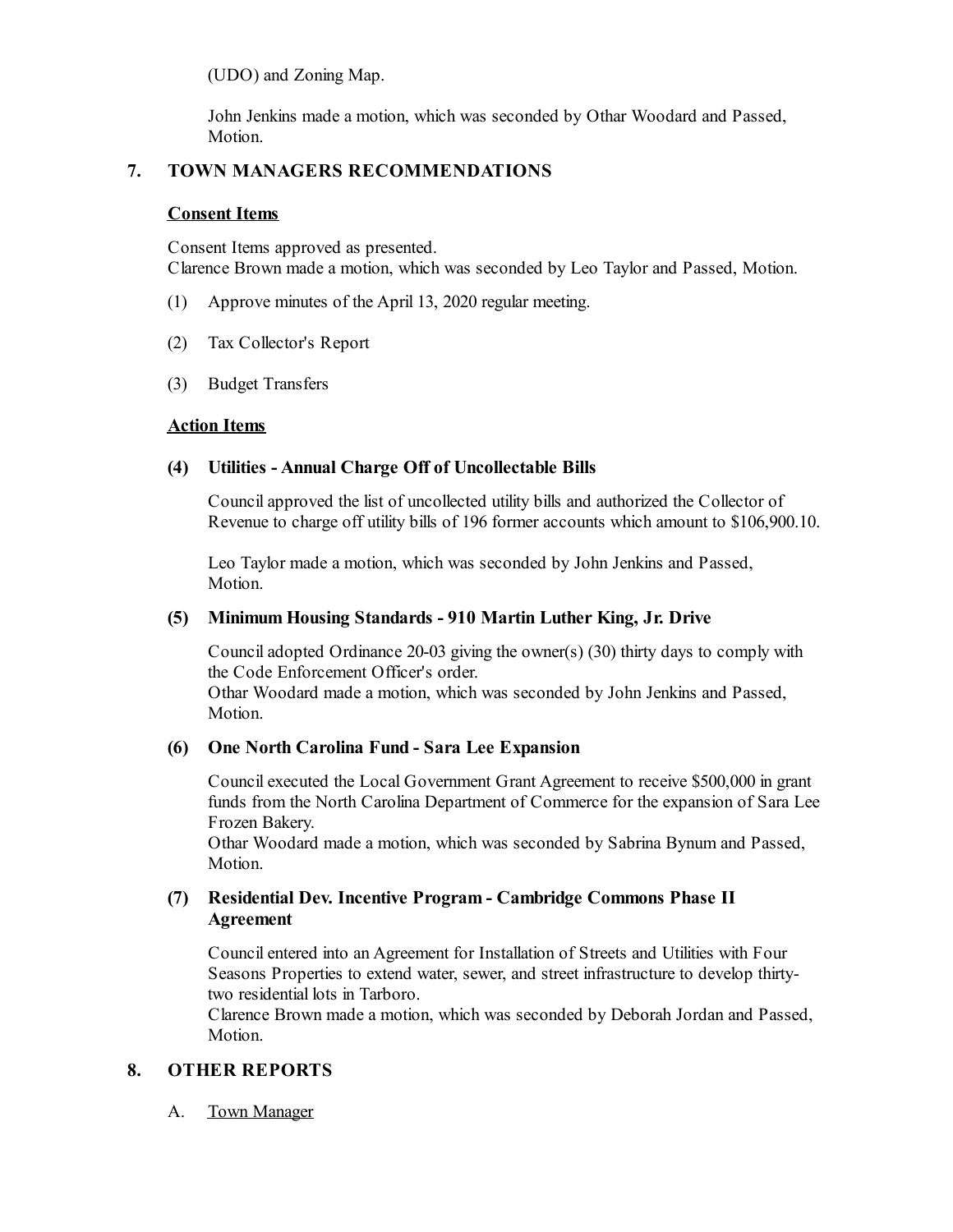(UDO) and Zoning Map.

John Jenkins made a motion, which was seconded by Othar Woodard and Passed, Motion.

## **7. TOWN MANAGERS RECOMMENDATIONS**

### **Consent Items**

Consent Items approved as presented. Clarence Brown made a motion, which was seconded by Leo Taylor and Passed, Motion.

- (1) Approve minutes of the April 13, 2020 regular meeting.
- (2) Tax Collector's Report
- (3) Budget Transfers

### **Action Items**

## **(4) Utilities - Annual Charge Off of Uncollectable Bills**

Councilapproved the list of uncollected utility bills and authorized the Collector of Revenue to charge off utility bills of 196 former accounts which amount to \$106,900.10.

Leo Taylor made a motion, which was seconded by John Jenkins and Passed, Motion.

### **(5) Minimum Housing Standards - 910 Martin Luther King, Jr. Drive**

Counciladopted Ordinance 20-03 giving the owner(s) (30) thirty days to comply with the Code Enforcement Officer's order. Othar Woodard made a motion, which was seconded by John Jenkins and Passed, Motion.

#### **(6) One North Carolina Fund - Sara Lee Expansion**

Council executed the Local Government Grant Agreement to receive \$500,000 in grant funds from the North Carolina Department of Commerce for the expansion of Sara Lee Frozen Bakery.

Othar Woodard made a motion, which was seconded by Sabrina Bynum and Passed, Motion.

## **(7) Residential Dev. Incentive Program - Cambridge Commons Phase II Agreement**

Councilentered into an Agreement for Installation of Streets and Utilities with Four Seasons Properties to extend water, sewer, and street infrastructure to develop thirtytwo residential lots in Tarboro.

Clarence Brown made a motion, which was seconded by Deborah Jordan and Passed, Motion.

# **8. OTHER REPORTS**

A. Town Manager